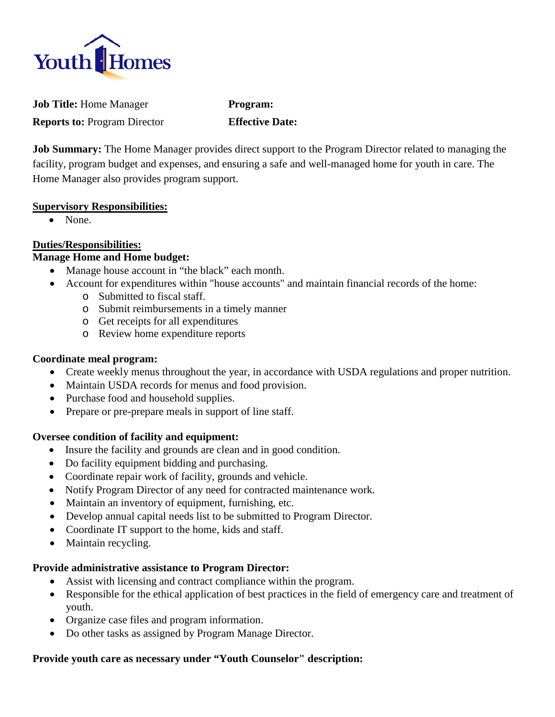

**Job Title:** Home Manager **Program: Reports to:** Program Director **Effective Date:**

**Job Summary:** The Home Manager provides direct support to the Program Director related to managing the facility, program budget and expenses, and ensuring a safe and well-managed home for youth in care. The Home Manager also provides program support.

### **Supervisory Responsibilities:**

• None.

# **Duties/Responsibilities:**

## **Manage Home and Home budget:**

- Manage house account in "the black" each month.
- Account for expenditures within "house accounts" and maintain financial records of the home:
	- o Submitted to fiscal staff.
	- o Submit reimbursements in a timely manner
	- o Get receipts for all expenditures
	- o Review home expenditure reports

## **Coordinate meal program:**

- Create weekly menus throughout the year, in accordance with USDA regulations and proper nutrition.
- Maintain USDA records for menus and food provision.
- Purchase food and household supplies.
- Prepare or pre-prepare meals in support of line staff.

## **Oversee condition of facility and equipment:**

- Insure the facility and grounds are clean and in good condition.
- Do facility equipment bidding and purchasing.
- Coordinate repair work of facility, grounds and vehicle.
- Notify Program Director of any need for contracted maintenance work.
- Maintain an inventory of equipment, furnishing, etc.
- Develop annual capital needs list to be submitted to Program Director.
- Coordinate IT support to the home, kids and staff.
- Maintain recycling.

## **Provide administrative assistance to Program Director:**

- Assist with licensing and contract compliance within the program.
- Responsible for the ethical application of best practices in the field of emergency care and treatment of youth.
- Organize case files and program information.
- Do other tasks as assigned by Program Manage Director.

## **Provide youth care as necessary under "Youth Counselor" description:**